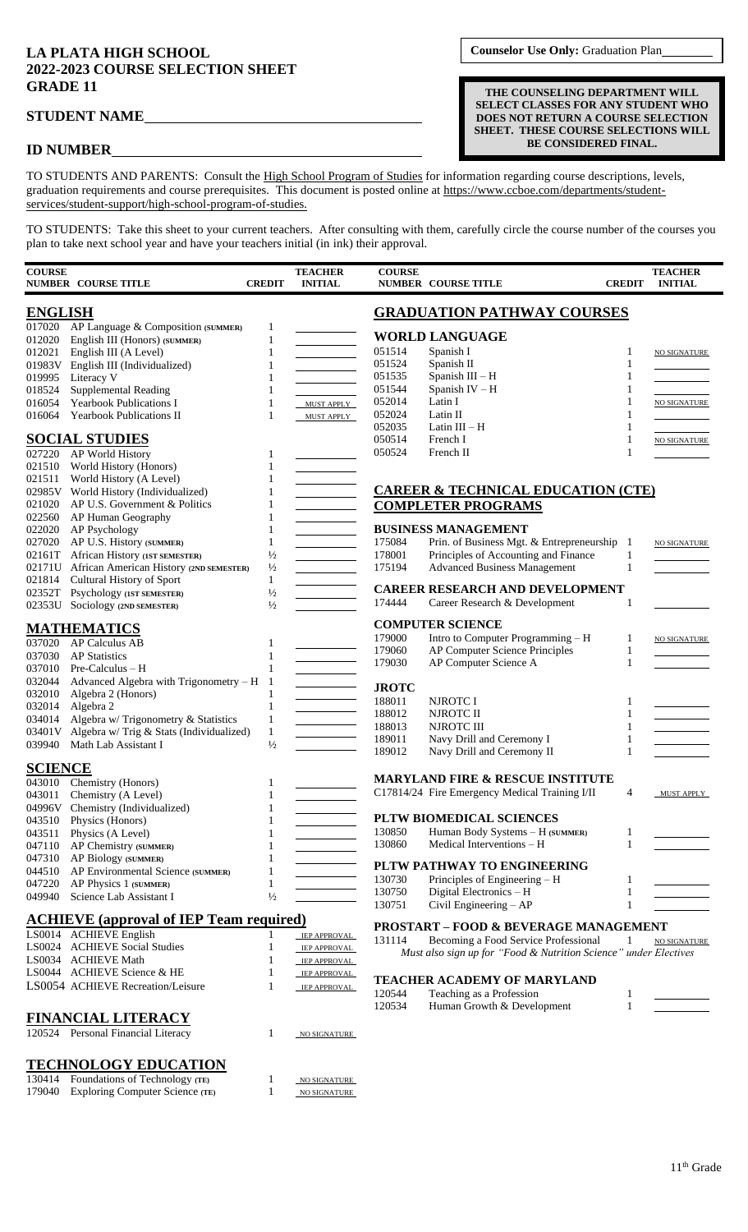## **LA PLATA HIGH SCHOOL 2022-2023 COURSE SELECTION SHEET GRADE 11**

## **ID NUMBER**

**Counselor Use Only:** Graduation Plan

**THE COUNSELING DEPARTMENT WILL SELECT CLASSES FOR ANY STUDENT WHO DOES NOT RETURN A COURSE SELECTION SHEET. THESE COURSE SELECTIONS WILL BE CONSIDERED FINAL.**

TO STUDENTS AND PARENTS: Consult the High School Program of Studies for information regarding course descriptions, levels, graduation requirements and course prerequisites. This document is posted online at https://www.ccboe.com/departments/studentservices/student-support/high-school-program-of-studies.

TO STUDENTS: Take this sheet to your current teachers. After consulting with them, carefully circle the course number of the courses you plan to take next school year and have your teachers initial (in ink) their approval.

| <b>COURSE</b>  | <b>NUMBER COURSE TITLE</b>                               | <b>CREDIT</b> | <b>TEACHER</b><br><b>INITIAL</b> | <b>COURSE</b>    | <b>NUMBER COURSE TITLE</b>                                       | <b>CREDIT</b> | <b>TEACHER</b><br><b>INITIAL</b> |
|----------------|----------------------------------------------------------|---------------|----------------------------------|------------------|------------------------------------------------------------------|---------------|----------------------------------|
| <b>ENGLISH</b> |                                                          |               |                                  |                  | <b>GRADUATION PATHWAY COURSES</b>                                |               |                                  |
|                | 017020 AP Language & Composition (SUMMER)                | $\mathbf{1}$  |                                  |                  | <b>WORLD LANGUAGE</b>                                            |               |                                  |
| 012020         | English III (Honors) (SUMMER)                            | $\mathbf{1}$  |                                  | 051514           | Spanish I                                                        |               |                                  |
| 012021         | English III (A Level)                                    | $\mathbf{1}$  |                                  | 051524           | Spanish II                                                       |               | NO SIGNATURE                     |
| 019995         | 01983V English III (Individualized)<br>Literacy V        | 1             |                                  | 051535           | Spanish III - H                                                  |               |                                  |
| 018524         | Supplemental Reading                                     | 1             |                                  | 051544           | Spanish IV - H                                                   |               |                                  |
| 016054         | <b>Yearbook Publications I</b>                           | 1             | MUST APPLY                       | 052014           | Latin I                                                          |               | <b>NO SIGNATURE</b>              |
| 016064         | <b>Yearbook Publications II</b>                          | 1             | MUST APPLY                       | 052024           | Latin II                                                         |               |                                  |
|                |                                                          |               |                                  | 052035           | Latin $III - H$                                                  | 1             |                                  |
|                | <b>SOCIAL STUDIES</b>                                    |               |                                  | 050514<br>050524 | French I<br>French II                                            | 1<br>1        | <b>NO SIGNATURE</b>              |
|                | 027220 AP World History                                  |               |                                  |                  |                                                                  |               |                                  |
| 021511         | 021510 World History (Honors)<br>World History (A Level) |               |                                  |                  |                                                                  |               |                                  |
|                | 02985V World History (Individualized)                    |               |                                  |                  | <b>CAREER &amp; TECHNICAL EDUCATION (CTE)</b>                    |               |                                  |
| 021020         | AP U.S. Government & Politics                            | 1             |                                  |                  | <b>COMPLETER PROGRAMS</b>                                        |               |                                  |
| 022560         | AP Human Geography                                       |               |                                  |                  |                                                                  |               |                                  |
| 022020         | AP Psychology                                            | 1             |                                  |                  | <b>BUSINESS MANAGEMENT</b>                                       |               |                                  |
| 027020         | AP U.S. History (SUMMER)                                 | $\mathbf{1}$  |                                  | 175084           | Prin. of Business Mgt. & Entrepreneurship 1                      |               | <b>NO SIGNATURE</b>              |
|                | 02161T African History (IST SEMESTER)                    | $\frac{1}{2}$ |                                  | 178001           | Principles of Accounting and Finance                             | 1             |                                  |
| 02171U         | African American History (2ND SEMESTER)                  | $\frac{1}{2}$ |                                  | 175194           | <b>Advanced Business Management</b>                              | 1             |                                  |
| 021814         | Cultural History of Sport                                | $\mathbf{1}$  |                                  |                  |                                                                  |               |                                  |
| 02352T         | Psychology (IST SEMESTER)                                | $\frac{1}{2}$ |                                  |                  | <b>CAREER RESEARCH AND DEVELOPMENT</b>                           |               |                                  |
| 02353U         | Sociology (2ND SEMESTER)                                 | $\frac{1}{2}$ |                                  | 174444           | Career Research & Development                                    |               |                                  |
|                | <b>MATHEMATICS</b>                                       |               |                                  |                  | <b>COMPUTER SCIENCE</b>                                          |               |                                  |
| 037020         | <b>AP Calculus AB</b>                                    | 1             |                                  | 179000           | Intro to Computer Programming - H                                | 1             | <b>NO SIGNATURE</b>              |
| 037030         | <b>AP</b> Statistics                                     | 1             |                                  | 179060           | <b>AP Computer Science Principles</b>                            | 1             |                                  |
| 037010         | Pre-Calculus - H                                         | 1             |                                  | 179030           | AP Computer Science A                                            | 1             |                                  |
| 032044         | Advanced Algebra with Trigonometry $- H$ 1               |               |                                  |                  |                                                                  |               |                                  |
| 032010         | Algebra 2 (Honors)                                       | 1             |                                  | <b>JROTC</b>     |                                                                  |               |                                  |
| 032014         | Algebra 2                                                | $\mathbf{1}$  |                                  | 188011           | NJROTC I                                                         |               |                                  |
| 034014         | Algebra w/ Trigonometry & Statistics                     | $\mathbf{1}$  |                                  | 188012<br>188013 | NJROTC II<br>NJROTC III                                          | 1<br>1        |                                  |
| 03401V         | Algebra w/ Trig & Stats (Individualized)                 | $\mathbf{1}$  |                                  | 189011           | Navy Drill and Ceremony I                                        | 1             |                                  |
| 039940         | Math Lab Assistant I                                     | $\frac{1}{2}$ |                                  | 189012           | Navy Drill and Ceremony II                                       | 1             |                                  |
| <b>SCIENCE</b> |                                                          |               |                                  |                  |                                                                  |               |                                  |
|                | 043010 Chemistry (Honors)                                | 1             |                                  |                  | <b>MARYLAND FIRE &amp; RESCUE INSTITUTE</b>                      |               |                                  |
| 043011         | Chemistry (A Level)                                      |               |                                  |                  | C17814/24 Fire Emergency Medical Training I/II                   | 4             | <b>MUST APPLY</b>                |
| 04996V         | Chemistry (Individualized)                               | 1             |                                  |                  |                                                                  |               |                                  |
| 043510         | Physics (Honors)                                         | 1             |                                  |                  | PLTW BIOMEDICAL SCIENCES                                         |               |                                  |
| 043511         | Physics (A Level)                                        | 1             |                                  | 130850           | Human Body Systems - H (SUMMER)                                  | 1             |                                  |
| 047110         | AP Chemistry (SUMMER)                                    |               |                                  | 130860           | Medical Interventions – H                                        | 1             |                                  |
| 047310         | AP Biology (SUMMER)                                      |               |                                  |                  | PLTW PATHWAY TO ENGINEERING                                      |               |                                  |
| 044510         | AP Environmental Science (SUMMER)                        |               |                                  | 130730           | Principles of Engineering - H                                    | 1             |                                  |
| 047220         | AP Physics 1 (SUMMER)                                    | 1             |                                  | 130750           | Digital Electronics - H                                          | 1             |                                  |
| 049940         | Science Lab Assistant I                                  | $\frac{1}{2}$ |                                  | 130751           | Civil Engineering - AP                                           | 1             |                                  |
|                | <b>ACHIEVE</b> (approval of IEP Team required)           |               |                                  |                  |                                                                  |               |                                  |
|                | LS0014 ACHIEVE English                                   |               | <b>IEP APPROVAL</b>              |                  | <b>PROSTART - FOOD &amp; BEVERAGE MANAGEMENT</b>                 |               |                                  |
|                | LS0024 ACHIEVE Social Studies                            | 1             | <b>IEP APPROVAL</b>              | 131114           | Becoming a Food Service Professional                             | 1             | NO SIGNATURE                     |
|                | LS0034 ACHIEVE Math                                      |               | <b>IEP APPROVAL</b>              |                  | Must also sign up for "Food & Nutrition Science" under Electives |               |                                  |
|                | LS0044 ACHIEVE Science & HE                              | 1             | <b>IEP APPROVAL</b>              |                  |                                                                  |               |                                  |
|                | LS0054 ACHIEVE Recreation/Leisure                        | 1             | <b>IEP APPROVAL</b>              |                  | TEACHER ACADEMY OF MARYLAND                                      |               |                                  |
|                |                                                          |               |                                  | 120544<br>120534 | Teaching as a Profession<br>Human Growth & Development           | 1<br>1        |                                  |
|                | <b>FINANCIAL LITERACY</b>                                |               |                                  |                  |                                                                  |               |                                  |
|                | 120524 Personal Financial Literacy                       | 1             | NO SIGNATURE                     |                  |                                                                  |               |                                  |
|                |                                                          |               |                                  |                  |                                                                  |               |                                  |

## **TECHNOLOGY EDUCATION**

| 130414 Foundations of Technology (TE)  | NO SIGNATURE        |
|----------------------------------------|---------------------|
| 179040 Exploring Computer Science (TE) | <b>NO SIGNATURE</b> |